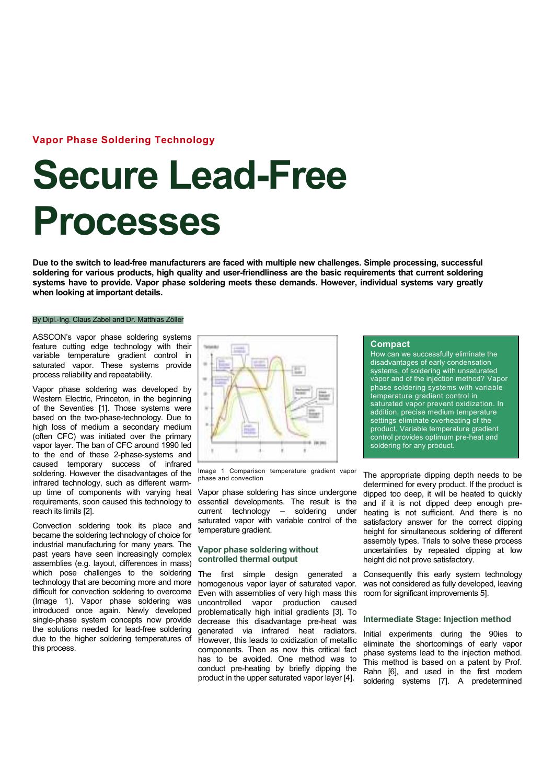# Vapor Phase Soldering Technology

# Secure Lead-Free Processes

Due to the switch to lead-free manufacturers are faced with multiple new challenges. Simple processing, successful soldering for various products, high quality and user-friendliness are the basic requirements that current soldering systems have to provide. Vapor phase soldering meets these demands. However, individual systems vary greatly when looking at important details.

#### By Dipl.-Ing. Claus Zabel and Dr. Matthias Zöller

ASSCON's vapor phase soldering systems feature cutting edge technology with their variable temperature gradient control in saturated vapor. These systems provide process reliability and repeatability.

Vapor phase soldering was developed by Western Electric, Princeton, in the beginning of the Seventies [1]. Those systems were based on the two-phase-technology. Due to high loss of medium a secondary medium (often CFC) was initiated over the primary vapor layer. The ban of CFC around 1990 led to the end of these 2-phase-systems and caused temporary success of infrared soldering. However the disadvantages of the infrared technology, such as different warmup time of components with varying heat requirements, soon caused this technology to reach its limits [2].

Convection soldering took its place and became the soldering technology of choice for industrial manufacturing for many years. The past years have seen increasingly complex assemblies (e.g. layout, differences in mass) which pose challenges to the soldering technology that are becoming more and more difficult for convection soldering to overcome (Image 1). Vapor phase soldering was introduced once again. Newly developed single-phase system concepts now provide the solutions needed for lead-free soldering due to the higher soldering temperatures of this process.



Image 1 Comparison temperature gradient vapor phase and convection

Vapor phase soldering has since undergone essential developments. The result is the current technology – soldering under saturated vapor with variable control of the temperature gradient.

# Vapor phase soldering without controlled thermal output

The first simple design generated a homogenous vapor layer of saturated vapor. Even with assemblies of very high mass this uncontrolled vapor production caused problematically high initial gradients [3]. To decrease this disadvantage pre-heat was generated via infrared heat radiators. However, this leads to oxidization of metallic components. Then as now this critical fact has to be avoided. One method was to conduct pre-heating by briefly dipping the product in the upper saturated vapor layer [4].

### **Compact**

How can we successfully eliminate the disadvantages of early condensation systems, of soldering with unsaturated vapor and of the injection method? Vapor phase soldering systems with variable temperature gradient control in saturated vapor prevent oxidization. In addition, precise medium temperature settings eliminate overheating of the product. Variable temperature gradient control provides optimum pre-heat and soldering for any product.

The appropriate dipping depth needs to be determined for every product. If the product is dipped too deep, it will be heated to quickly and if it is not dipped deep enough preheating is not sufficient. And there is no satisfactory answer for the correct dipping height for simultaneous soldering of different assembly types. Trials to solve these process uncertainties by repeated dipping at low height did not prove satisfactory.

Consequently this early system technology was not considered as fully developed, leaving room for significant improvements 5].

## Intermediate Stage: Injection method

Initial experiments during the 90ies to eliminate the shortcomings of early vapor phase systems lead to the injection method. This method is based on a patent by Prof. Rahn [6], and used in the first modern soldering systems [7]. A predetermined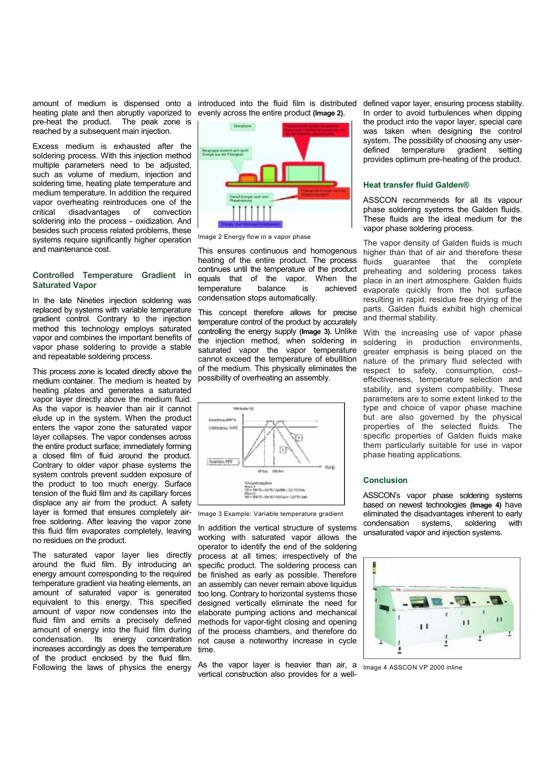heating plate and then abruptly vaporized to pre-heat the product. The peak zone is reached by a subsequent main injection.

Excess medium is exhausted after the soldering process. With this injection method multiple parameters need to be adjusted. such as volume of medium, injection and soldering time, heating plate temperature and medium temperature. In addition the required vapor overheating reintroduces one of the critical disadvantages of convection soldering into the process - oxidization. And besides such process related problems, these systems require significantly higher operation and maintenance cost.

# Controlled Temperature Gradient in Saturated Vapor

In the late Nineties injection soldering was replaced by systems with variable temperature gradient control. Contrary to the injection method this technology employs saturated vapor and combines the important benefits of vapor phase soldering to provide a stable and repeatable soldering process.

This process zone is located directly above the medium container. The medium is heated by heating plates and generates a saturated vapor layer directly above the medium fluid. As the vapor is heavier than air it cannot elude up in the system. When the product enters the vapor zone the saturated vapor layer collapses. The vapor condenses across the entire product surface; immediately forming a closed film of fluid around the product. Contrary to older vapor phase systems the system controls prevent sudden exposure of the product to too much energy. Surface tension of the fluid film and its capillary forces displace any air from the product. A safety layer is formed that ensures completely airfree soldering. After leaving the vapor zone this fluid film evaporates completely, leaving no residues on the product.

The saturated vapor layer lies directly around the fluid film. By introducing an energy amount corresponding to the required temperature gradient via heating elements, an amount of saturated vapor is generated equivalent to this energy. This specified amount of vapor now condenses into the fluid film and emits a precisely defined amount of energy into the fluid film during condensation. Its energy concentration increases accordingly as does the temperature of the product enclosed by the fluid film. Following the laws of physics the energy

amount of medium is dispensed onto a introduced into the fluid film is distributed defined vapor layer, ensuring process stability. evenly across the entire product (Image 2).



Image 2 Energy flow in a vapor phase

This ensures continuous and homogenous heating of the entire product. The process continues until the temperature of the product equals that of the vapor. When the temperature balance is achieved temperature condensation stops automatically.

This concept therefore allows for precise temperature control of the product by accurately controlling the energy supply (Image 3). Unlike the injection method, when soldering in saturated vapor the vapor temperature cannot exceed the temperature of ebullition of the medium. This physically eliminates the possibility of overheating an assembly.



Image 3 Example: Variable temperature gradient

In addition the vertical structure of systems working with saturated vapor allows the operator to identify the end of the soldering process at all times; irrespectively of the specific product. The soldering process can be finished as early as possible. Therefore an assembly can never remain above liquidus too long. Contrary to horizontal systems those designed vertically eliminate the need for elaborate pumping actions and mechanical methods for vapor-tight closing and opening of the process chambers, and therefore do not cause a noteworthy increase in cycle time.

As the vapor layer is heavier than air, a <sub>Image 4</sub> ASSCON VP 2000 inline vertical construction also provides for a well-

In order to avoid turbulences when dipping the product into the vapor layer, special care was taken when designing the control system. The possibility of choosing any userdefined temperature gradient setting provides optimum pre-heating of the product.

### Heat transfer fluid Galden®

ASSCON recommends for all its vapour phase soldering systems the Galden fluids. These fluids are the ideal medium for the vapor phase soldering process.

The vapor density of Galden fluids is much higher than that of air and therefore these fluids guarantee that the complete preheating and soldering process takes place in an inert atmosphere. Galden fluids evaporate quickly from the hot surface resulting in rapid, residue free drying of the parts. Galden fluids exhibit high chemical and thermal stability.

With the increasing use of vapor phase soldering in production environments. greater emphasis is being placed on the nature of the primary fluid selected with respect to safety, consumption, cost– effectiveness, temperature selection and stability, and system compatibility. These parameters are to some extent linked to the type and choice of vapor phase machine but are also governed by the physical properties of the selected fluids. The specific properties of Galden fluids make them particularly suitable for use in vapor phase heating applications.

### Conclusion

ASSCON's vapor phase soldering systems based on newest technologies (Image 4) have eliminated the disadvantages inherent to early condensation systems, soldering with unsaturated vapor and injection systems.